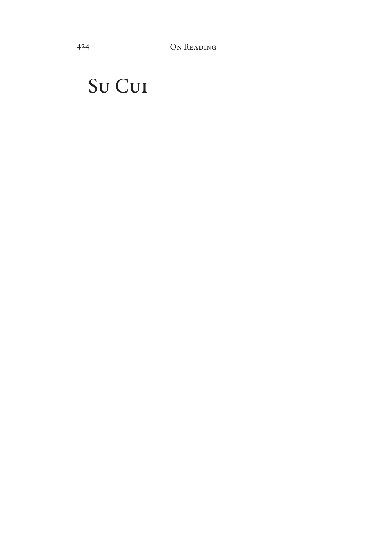## Su Cui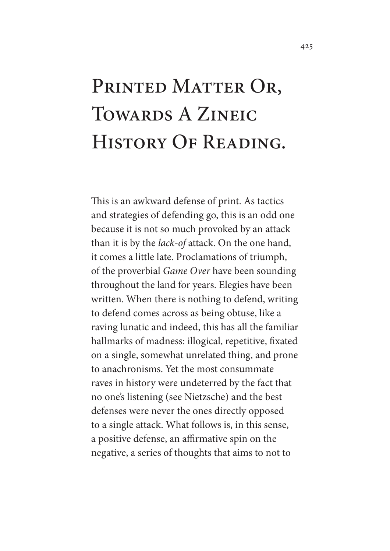# PRINTED MATTER OR, TOWARDS A ZINEIC History Of Reading.

This is an awkward defense of print. As tactics and strategies of defending go, this is an odd one because it is not so much provoked by an attack than it is by the *lack-of* attack. On the one hand, it comes a little late. Proclamations of triumph, of the proverbial *Game Over* have been sounding throughout the land for years. Elegies have been written. When there is nothing to defend, writing to defend comes across as being obtuse, like a raving lunatic and indeed, this has all the familiar hallmarks of madness: illogical, repetitive, fxated on a single, somewhat unrelated thing, and prone to anachronisms. Yet the most consummate raves in history were undeterred by the fact that no one's listening (see Nietzsche) and the best defenses were never the ones directly opposed to a single attack. What follows is, in this sense, a positive defense, an afrmative spin on the negative, a series of thoughts that aims to not to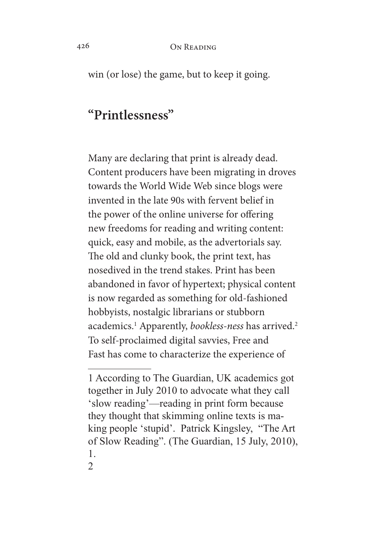win (or lose) the game, but to keep it going.

## **"Printlessness"**

Many are declaring that print is already dead. Content producers have been migrating in droves towards the World Wide Web since blogs were invented in the late 90s with fervent belief in the power of the online universe for offering new freedoms for reading and writing content: quick, easy and mobile, as the advertorials say. The old and clunky book, the print text, has nosedived in the trend stakes. Print has been abandoned in favor of hypertext; physical content is now regarded as something for old-fashioned hobbyists, nostalgic librarians or stubborn academics.1 Apparently, *bookless-ness* has arrived.2 To self-proclaimed digital savvies, Free and Fast has come to characterize the experience of

<sup>1</sup> According to The Guardian, UK academics got together in July 2010 to advocate what they call 'slow reading'—reading in print form because they thought that skimming online texts is making people 'stupid'. Patrick Kingsley, "The Art of Slow Reading". (The Guardian, 15 July, 2010), 1.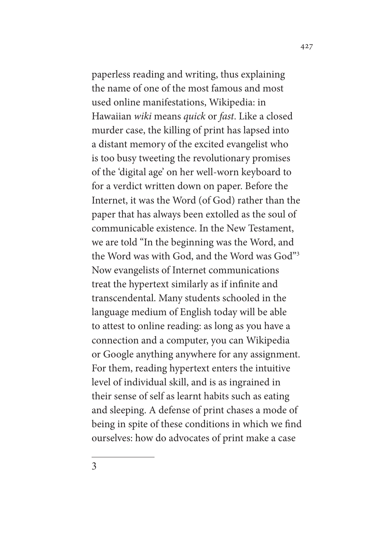paperless reading and writing, thus explaining the name of one of the most famous and most used online manifestations, Wikipedia: in Hawaiian *wiki* means *quick* or *fast*. Like a closed murder case, the killing of print has lapsed into a distant memory of the excited evangelist who is too busy tweeting the revolutionary promises of the 'digital age' on her well-worn keyboard to for a verdict written down on paper. Before the Internet, it was the Word (of God) rather than the paper that has always been extolled as the soul of communicable existence. In the New Testament, we are told "In the beginning was the Word, and the Word was with God, and the Word was God"3 Now evangelists of Internet communications treat the hypertext similarly as if infnite and transcendental. Many students schooled in the language medium of English today will be able to attest to online reading: as long as you have a connection and a computer, you can Wikipedia or Google anything anywhere for any assignment. For them, reading hypertext enters the intuitive level of individual skill, and is as ingrained in their sense of self as learnt habits such as eating and sleeping. A defense of print chases a mode of being in spite of these conditions in which we fnd ourselves: how do advocates of print make a case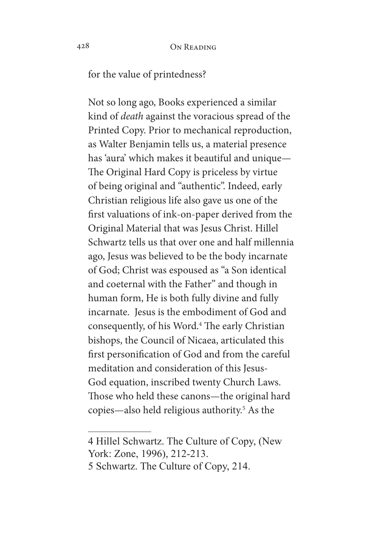for the value of printedness?

Not so long ago, Books experienced a similar kind of *death* against the voracious spread of the Printed Copy. Prior to mechanical reproduction, as Walter Benjamin tells us, a material presence has 'aura' which makes it beautiful and unique— The Original Hard Copy is priceless by virtue of being original and "authentic". Indeed, early Christian religious life also gave us one of the frst valuations of ink-on-paper derived from the Original Material that was Jesus Christ. Hillel Schwartz tells us that over one and half millennia ago, Jesus was believed to be the body incarnate of God; Christ was espoused as "a Son identical and coeternal with the Father" and though in human form, He is both fully divine and fully incarnate. Jesus is the embodiment of God and consequently, of his Word.<sup>4</sup> The early Christian bishops, the Council of Nicaea, articulated this frst personifcation of God and from the careful meditation and consideration of this Jesus-God equation, inscribed twenty Church Laws. Those who held these canons—the original hard copies—also held religious authority.5 As the

<sup>4</sup> Hillel Schwartz. The Culture of Copy, (New York: Zone, 1996), 212-213.

<sup>5</sup> Schwartz. The Culture of Copy, 214.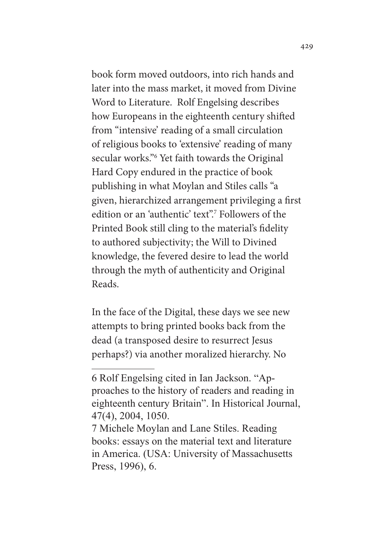book form moved outdoors, into rich hands and later into the mass market, it moved from Divine Word to Literature. Rolf Engelsing describes how Europeans in the eighteenth century shifed from "intensive' reading of a small circulation of religious books to 'extensive' reading of many secular works."<sup>6</sup> Yet faith towards the Original Hard Copy endured in the practice of book publishing in what Moylan and Stiles calls "a given, hierarchized arrangement privileging a frst edition or an 'authentic' text".<sup>7</sup> Followers of the Printed Book still cling to the material's fdelity to authored subjectivity; the Will to Divined knowledge, the fevered desire to lead the world through the myth of authenticity and Original Reads.

In the face of the Digital, these days we see new attempts to bring printed books back from the dead (a transposed desire to resurrect Jesus perhaps?) via another moralized hierarchy. No

<sup>6</sup> Rolf Engelsing cited in Ian Jackson. "Approaches to the history of readers and reading in eighteenth century Britain". In Historical Journal, 47(4), 2004, 1050.

<sup>7</sup> Michele Moylan and Lane Stiles. Reading books: essays on the material text and literature in America. (USA: University of Massachusetts Press, 1996), 6.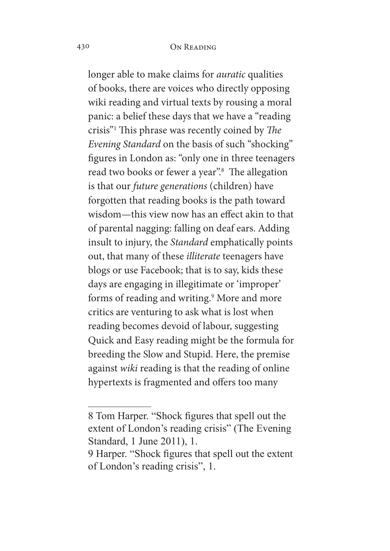longer able to make claims for *auratic* qualities of books, there are voices who directly opposing wiki reading and virtual texts by rousing a moral panic: a belief these days that we have a "reading crisis"<sup>1</sup> This phrase was recently coined by *The Evening Standard* on the basis of such "shocking" fgures in London as: "only one in three teenagers read two books or fewer a year".<sup>8</sup> The allegation is that our *future generations* (children) have forgotten that reading books is the path toward wisdom—this view now has an efect akin to that of parental nagging: falling on deaf ears. Adding insult to injury, the *Standard* emphatically points out, that many of these *illiterate* teenagers have blogs or use Facebook; that is to say, kids these days are engaging in illegitimate or 'improper' forms of reading and writing.<sup>9</sup> More and more critics are venturing to ask what is lost when reading becomes devoid of labour, suggesting Quick and Easy reading might be the formula for breeding the Slow and Stupid. Here, the premise against *wiki* reading is that the reading of online hypertexts is fragmented and offers too many

<sup>8</sup> Tom Harper. "Shock fgures that spell out the extent of London's reading crisis" (The Evening Standard, 1 June 2011), 1.

<sup>9</sup> Harper. "Shock fgures that spell out the extent of London's reading crisis", 1.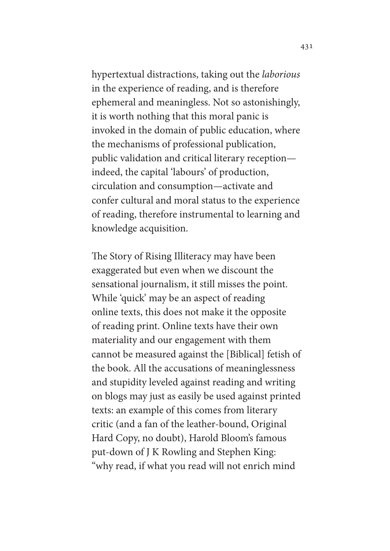hypertextual distractions, taking out the *laborious*  in the experience of reading, and is therefore ephemeral and meaningless. Not so astonishingly, it is worth nothing that this moral panic is invoked in the domain of public education, where the mechanisms of professional publication, public validation and critical literary reception indeed, the capital 'labours' of production, circulation and consumption—activate and confer cultural and moral status to the experience of reading, therefore instrumental to learning and knowledge acquisition.

The Story of Rising Illiteracy may have been exaggerated but even when we discount the sensational journalism, it still misses the point. While 'quick' may be an aspect of reading online texts, this does not make it the opposite of reading print. Online texts have their own materiality and our engagement with them cannot be measured against the [Biblical] fetish of the book. All the accusations of meaninglessness and stupidity leveled against reading and writing on blogs may just as easily be used against printed texts: an example of this comes from literary critic (and a fan of the leather-bound, Original Hard Copy, no doubt), Harold Bloom's famous put-down of J K Rowling and Stephen King: "why read, if what you read will not enrich mind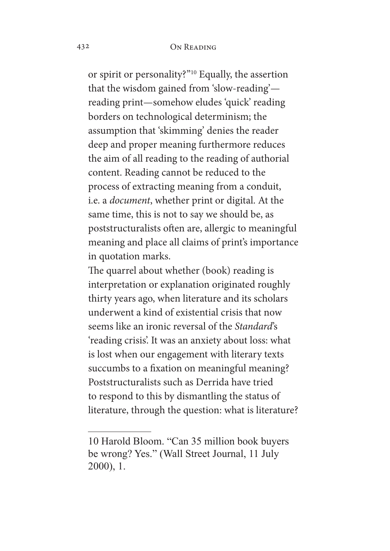or spirit or personality?"10 Equally, the assertion that the wisdom gained from 'slow-reading' reading print—somehow eludes 'quick' reading borders on technological determinism; the assumption that 'skimming' denies the reader deep and proper meaning furthermore reduces the aim of all reading to the reading of authorial content. Reading cannot be reduced to the process of extracting meaning from a conduit, i.e. a *document*, whether print or digital. At the same time, this is not to say we should be, as poststructuralists often are, allergic to meaningful meaning and place all claims of print's importance in quotation marks.

The quarrel about whether (book) reading is interpretation or explanation originated roughly thirty years ago, when literature and its scholars underwent a kind of existential crisis that now seems like an ironic reversal of the *Standard*'s 'reading crisis'. It was an anxiety about loss: what is lost when our engagement with literary texts succumbs to a fixation on meaningful meaning? Poststructuralists such as Derrida have tried to respond to this by dismantling the status of literature, through the question: what is literature?

<sup>10</sup> Harold Bloom. "Can 35 million book buyers be wrong? Yes." (Wall Street Journal, 11 July 2000), 1.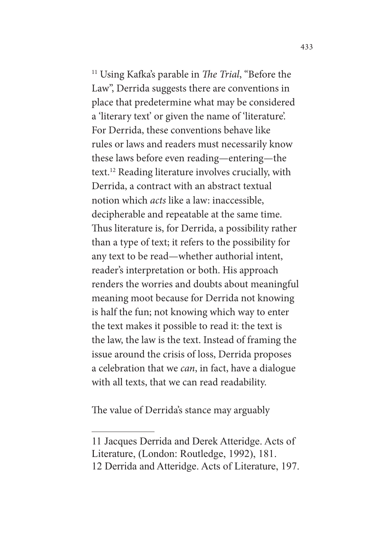<sup>11</sup> Using Kafka's parable in *The Trial*, "Before the Law", Derrida suggests there are conventions in place that predetermine what may be considered a 'literary text' or given the name of 'literature'. For Derrida, these conventions behave like rules or laws and readers must necessarily know these laws before even reading—entering—the text.12 Reading literature involves crucially, with Derrida, a contract with an abstract textual notion which *acts* like a law: inaccessible, decipherable and repeatable at the same time. Thus literature is, for Derrida, a possibility rather than a type of text; it refers to the possibility for any text to be read—whether authorial intent, reader's interpretation or both. His approach renders the worries and doubts about meaningful meaning moot because for Derrida not knowing is half the fun; not knowing which way to enter the text makes it possible to read it: the text is the law, the law is the text. Instead of framing the issue around the crisis of loss, Derrida proposes a celebration that we *can*, in fact, have a dialogue with all texts, that we can read readability.

The value of Derrida's stance may arguably

<sup>11</sup> Jacques Derrida and Derek Atteridge. Acts of

Literature, (London: Routledge, 1992), 181.

<sup>12</sup> Derrida and Atteridge. Acts of Literature, 197.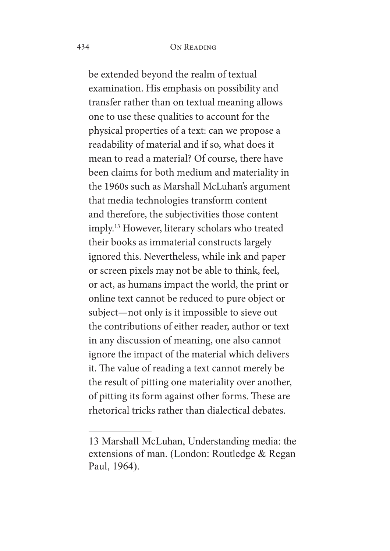be extended beyond the realm of textual examination. His emphasis on possibility and transfer rather than on textual meaning allows one to use these qualities to account for the physical properties of a text: can we propose a readability of material and if so, what does it mean to read a material? Of course, there have been claims for both medium and materiality in the 1960s such as Marshall McLuhan's argument that media technologies transform content and therefore, the subjectivities those content imply.13 However, literary scholars who treated their books as immaterial constructs largely ignored this. Nevertheless, while ink and paper or screen pixels may not be able to think, feel, or act, as humans impact the world, the print or online text cannot be reduced to pure object or subject—not only is it impossible to sieve out the contributions of either reader, author or text in any discussion of meaning, one also cannot ignore the impact of the material which delivers it. The value of reading a text cannot merely be the result of pitting one materiality over another, of pitting its form against other forms. These are rhetorical tricks rather than dialectical debates.

<sup>13</sup> Marshall McLuhan, Understanding media: the extensions of man. (London: Routledge & Regan Paul, 1964).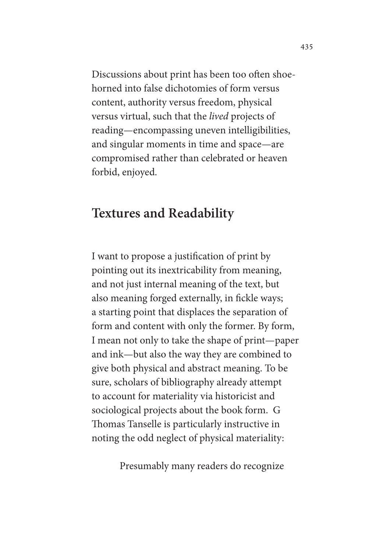Discussions about print has been too often shoehorned into false dichotomies of form versus content, authority versus freedom, physical versus virtual, such that the *lived* projects of reading—encompassing uneven intelligibilities, and singular moments in time and space—are compromised rather than celebrated or heaven forbid, enjoyed.

### **Textures and Readability**

I want to propose a justifcation of print by pointing out its inextricability from meaning, and not just internal meaning of the text, but also meaning forged externally, in fickle ways; a starting point that displaces the separation of form and content with only the former. By form, I mean not only to take the shape of print—paper and ink—but also the way they are combined to give both physical and abstract meaning. To be sure, scholars of bibliography already attempt to account for materiality via historicist and sociological projects about the book form. G Thomas Tanselle is particularly instructive in noting the odd neglect of physical materiality:

Presumably many readers do recognize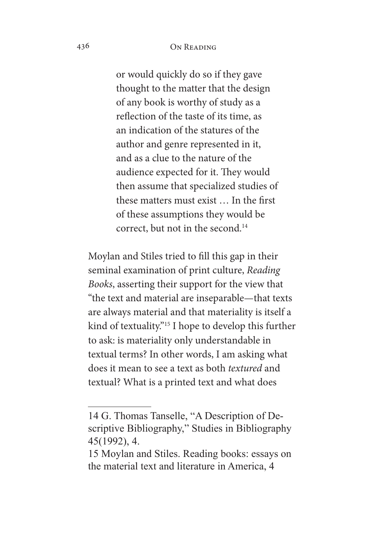#### 436 On Reading

or would quickly do so if they gave thought to the matter that the design of any book is worthy of study as a refection of the taste of its time, as an indication of the statures of the author and genre represented in it, and as a clue to the nature of the audience expected for it. They would then assume that specialized studies of these matters must exist … In the frst of these assumptions they would be correct, but not in the second.<sup>14</sup>

Moylan and Stiles tried to fll this gap in their seminal examination of print culture, *Reading Books*, asserting their support for the view that "the text and material are inseparable—that texts are always material and that materiality is itself a kind of textuality."15 I hope to develop this further to ask: is materiality only understandable in textual terms? In other words, I am asking what does it mean to see a text as both *textured* and textual? What is a printed text and what does

<sup>14</sup> G. Thomas Tanselle, "A Description of Descriptive Bibliography," Studies in Bibliography 45(1992), 4.

<sup>15</sup> Moylan and Stiles. Reading books: essays on the material text and literature in America, 4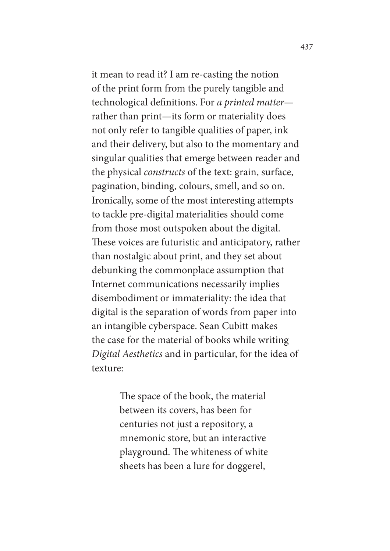it mean to read it? I am re-casting the notion of the print form from the purely tangible and technological defnitions. For *a printed matter* rather than print—its form or materiality does not only refer to tangible qualities of paper, ink and their delivery, but also to the momentary and singular qualities that emerge between reader and the physical *constructs* of the text: grain, surface, pagination, binding, colours, smell, and so on. Ironically, some of the most interesting attempts to tackle pre-digital materialities should come from those most outspoken about the digital. These voices are futuristic and anticipatory, rather than nostalgic about print, and they set about debunking the commonplace assumption that Internet communications necessarily implies disembodiment or immateriality: the idea that digital is the separation of words from paper into an intangible cyberspace. Sean Cubitt makes the case for the material of books while writing *Digital Aesthetics* and in particular, for the idea of texture:

> The space of the book, the material between its covers, has been for centuries not just a repository, a mnemonic store, but an interactive playground. The whiteness of white sheets has been a lure for doggerel,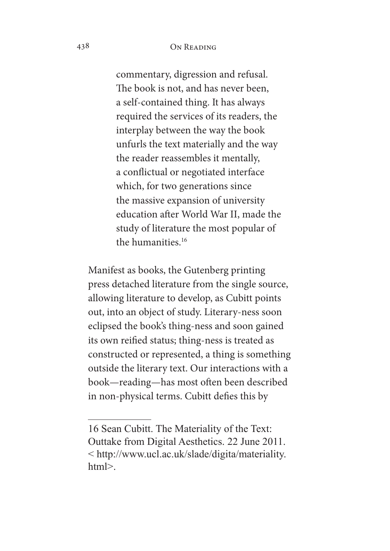#### 438 On Reading

commentary, digression and refusal. The book is not, and has never been, a self-contained thing. It has always required the services of its readers, the interplay between the way the book unfurls the text materially and the way the reader reassembles it mentally, a confictual or negotiated interface which, for two generations since the massive expansion of university education after World War II, made the study of literature the most popular of the humanities.16

Manifest as books, the Gutenberg printing press detached literature from the single source, allowing literature to develop, as Cubitt points out, into an object of study. Literary-ness soon eclipsed the book's thing-ness and soon gained its own reifed status; thing-ness is treated as constructed or represented, a thing is something outside the literary text. Our interactions with a book—reading—has most often been described in non-physical terms. Cubitt defes this by

<sup>16</sup> Sean Cubitt. The Materiality of the Text: Outtake from Digital Aesthetics. 22 June 2011. < http://www.ucl.ac.uk/slade/digita/materiality. html>.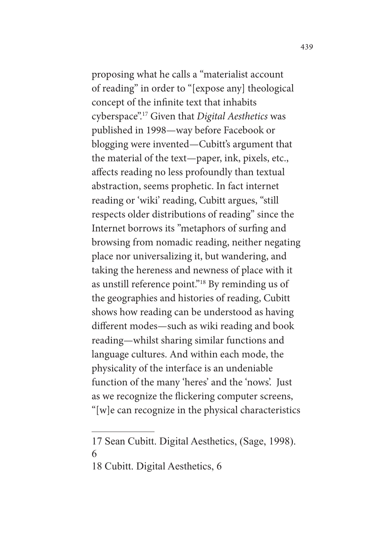proposing what he calls a "materialist account of reading" in order to "[expose any] theological concept of the infnite text that inhabits cyberspace".17 Given that *Digital Aesthetics* was published in 1998—way before Facebook or blogging were invented—Cubitt's argument that the material of the text—paper, ink, pixels, etc., afects reading no less profoundly than textual abstraction, seems prophetic. In fact internet reading or 'wiki' reading, Cubitt argues, "still respects older distributions of reading" since the Internet borrows its "metaphors of surfng and browsing from nomadic reading, neither negating place nor universalizing it, but wandering, and taking the hereness and newness of place with it as unstill reference point."18 By reminding us of the geographies and histories of reading, Cubitt shows how reading can be understood as having diferent modes—such as wiki reading and book reading—whilst sharing similar functions and language cultures. And within each mode, the physicality of the interface is an undeniable function of the many 'heres' and the 'nows'. Just as we recognize the fickering computer screens, "[w]e can recognize in the physical characteristics

18 Cubitt. Digital Aesthetics, 6

<sup>17</sup> Sean Cubitt. Digital Aesthetics, (Sage, 1998). 6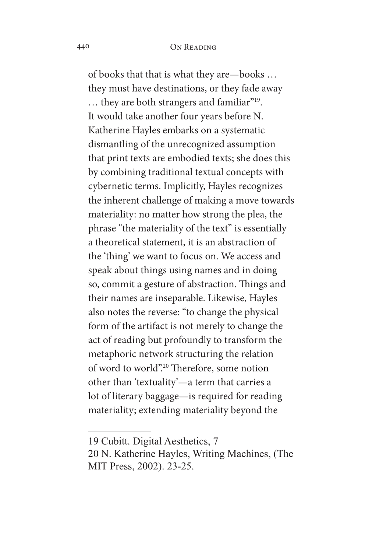of books that that is what they are—books … they must have destinations, or they fade away … they are both strangers and familiar"19. It would take another four years before N. Katherine Hayles embarks on a systematic dismantling of the unrecognized assumption that print texts are embodied texts; she does this by combining traditional textual concepts with cybernetic terms. Implicitly, Hayles recognizes the inherent challenge of making a move towards materiality: no matter how strong the plea, the phrase "the materiality of the text" is essentially a theoretical statement, it is an abstraction of the 'thing' we want to focus on. We access and speak about things using names and in doing so, commit a gesture of abstraction. Things and their names are inseparable. Likewise, Hayles also notes the reverse: "to change the physical form of the artifact is not merely to change the act of reading but profoundly to transform the metaphoric network structuring the relation of word to world".<sup>20</sup> Therefore, some notion other than 'textuality'—a term that carries a lot of literary baggage—is required for reading materiality; extending materiality beyond the

<sup>19</sup> Cubitt. Digital Aesthetics, 7

<sup>20</sup> N. Katherine Hayles, Writing Machines, (The MIT Press, 2002). 23-25.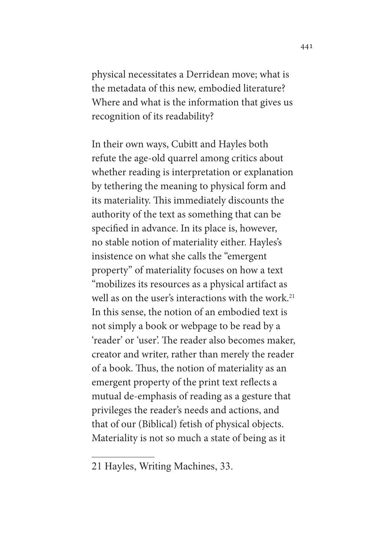physical necessitates a Derridean move; what is the metadata of this new, embodied literature? Where and what is the information that gives us recognition of its readability?

In their own ways, Cubitt and Hayles both refute the age-old quarrel among critics about whether reading is interpretation or explanation by tethering the meaning to physical form and its materiality. This immediately discounts the authority of the text as something that can be specifed in advance. In its place is, however, no stable notion of materiality either. Hayles's insistence on what she calls the "emergent property" of materiality focuses on how a text "mobilizes its resources as a physical artifact as well as on the user's interactions with the work.<sup>21</sup> In this sense, the notion of an embodied text is not simply a book or webpage to be read by a 'reader' or 'user'. The reader also becomes maker, creator and writer, rather than merely the reader of a book. Thus, the notion of materiality as an emergent property of the print text refects a mutual de-emphasis of reading as a gesture that privileges the reader's needs and actions, and that of our (Biblical) fetish of physical objects. Materiality is not so much a state of being as it

<sup>21</sup> Hayles, Writing Machines, 33.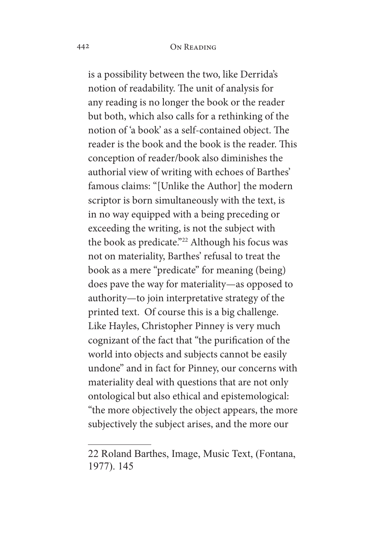#### 442 On Reading

is a possibility between the two, like Derrida's notion of readability. The unit of analysis for any reading is no longer the book or the reader but both, which also calls for a rethinking of the notion of 'a book' as a self-contained object. The reader is the book and the book is the reader. This conception of reader/book also diminishes the authorial view of writing with echoes of Barthes' famous claims: "[Unlike the Author] the modern scriptor is born simultaneously with the text, is in no way equipped with a being preceding or exceeding the writing, is not the subject with the book as predicate."<sup>22</sup> Although his focus was not on materiality, Barthes' refusal to treat the book as a mere "predicate" for meaning (being) does pave the way for materiality—as opposed to authority—to join interpretative strategy of the printed text. Of course this is a big challenge. Like Hayles, Christopher Pinney is very much cognizant of the fact that "the purifcation of the world into objects and subjects cannot be easily undone" and in fact for Pinney, our concerns with materiality deal with questions that are not only ontological but also ethical and epistemological: "the more objectively the object appears, the more subjectively the subject arises, and the more our

<sup>22</sup> Roland Barthes, Image, Music Text, (Fontana, 1977). 145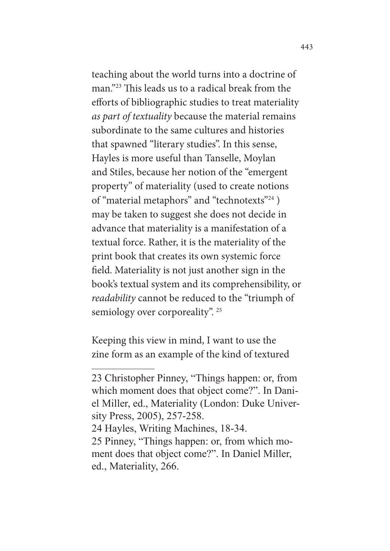teaching about the world turns into a doctrine of man."<sup>23</sup> This leads us to a radical break from the efforts of bibliographic studies to treat materiality *as part of textuality* because the material remains subordinate to the same cultures and histories that spawned "literary studies". In this sense, Hayles is more useful than Tanselle, Moylan and Stiles, because her notion of the "emergent property" of materiality (used to create notions of "material metaphors" and "technotexts"24 ) may be taken to suggest she does not decide in advance that materiality is a manifestation of a textual force. Rather, it is the materiality of the print book that creates its own systemic force feld. Materiality is not just another sign in the book's textual system and its comprehensibility, or *readability* cannot be reduced to the "triumph of semiology over corporeality". <sup>25</sup>

Keeping this view in mind, I want to use the zine form as an example of the kind of textured

<sup>23</sup> Christopher Pinney, "Things happen: or, from which moment does that object come?". In Daniel Miller, ed., Materiality (London: Duke University Press, 2005), 257-258.

<sup>24</sup> Hayles, Writing Machines, 18-34.

<sup>25</sup> Pinney, "Things happen: or, from which moment does that object come?". In Daniel Miller, ed., Materiality, 266.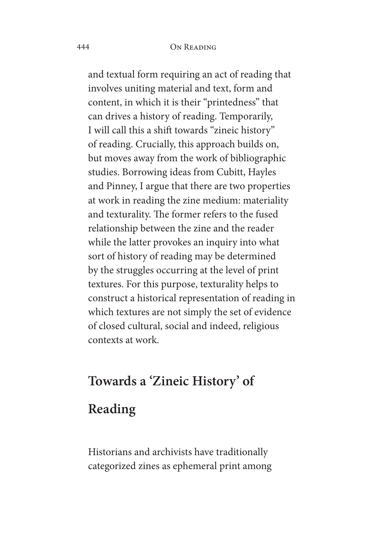#### 444 On Reading

and textual form requiring an act of reading that involves uniting material and text, form and content, in which it is their "printedness" that can drives a history of reading. Temporarily, I will call this a shift towards "zineic history" of reading. Crucially, this approach builds on, but moves away from the work of bibliographic studies. Borrowing ideas from Cubitt, Hayles and Pinney, I argue that there are two properties at work in reading the zine medium: materiality and texturality. The former refers to the fused relationship between the zine and the reader while the latter provokes an inquiry into what sort of history of reading may be determined by the struggles occurring at the level of print textures. For this purpose, texturality helps to construct a historical representation of reading in which textures are not simply the set of evidence of closed cultural, social and indeed, religious contexts at work.

## **Towards a 'Zineic History' of**

## **Reading**

Historians and archivists have traditionally categorized zines as ephemeral print among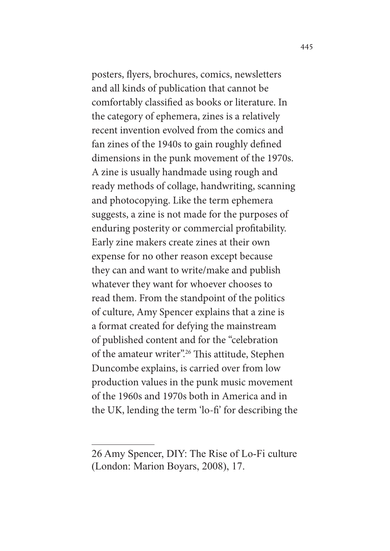posters, fyers, brochures, comics, newsletters and all kinds of publication that cannot be comfortably classifed as books or literature. In the category of ephemera, zines is a relatively recent invention evolved from the comics and fan zines of the 1940s to gain roughly defned dimensions in the punk movement of the 1970s. A zine is usually handmade using rough and ready methods of collage, handwriting, scanning and photocopying. Like the term ephemera suggests, a zine is not made for the purposes of enduring posterity or commercial proftability. Early zine makers create zines at their own expense for no other reason except because they can and want to write/make and publish whatever they want for whoever chooses to read them. From the standpoint of the politics of culture, Amy Spencer explains that a zine is a format created for defying the mainstream of published content and for the "celebration of the amateur writer".<sup>26</sup> This attitude, Stephen Duncombe explains, is carried over from low production values in the punk music movement of the 1960s and 1970s both in America and in the UK, lending the term 'lo-f' for describing the

<sup>26</sup> Amy Spencer, DIY: The Rise of Lo-Fi culture (London: Marion Boyars, 2008), 17.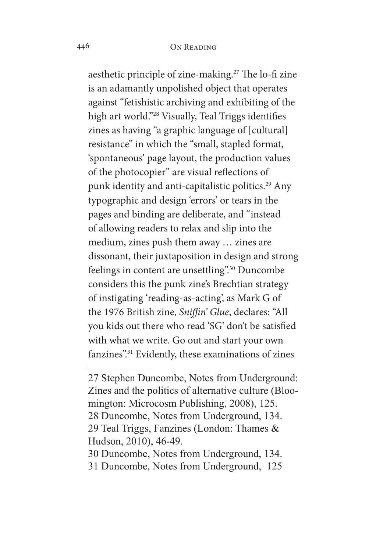aesthetic principle of zine-making.<sup>27</sup> The lo-fi zine is an adamantly unpolished object that operates against "fetishistic archiving and exhibiting of the high art world."28 Visually, Teal Triggs identifes zines as having "a graphic language of [cultural] resistance" in which the "small, stapled format, 'spontaneous' page layout, the production values of the photocopier" are visual refections of punk identity and anti-capitalistic politics.<sup>29</sup> Any typographic and design 'errors' or tears in the pages and binding are deliberate, and "instead of allowing readers to relax and slip into the medium, zines push them away … zines are dissonant, their juxtaposition in design and strong feelings in content are unsettling".30 Duncombe considers this the punk zine's Brechtian strategy of instigating 'reading-as-acting', as Mark G of the 1976 British zine, *Sni*f*n' Glue*, declares: "All you kids out there who read 'SG' don't be satisfed with what we write. Go out and start your own fanzines".31 Evidently, these examinations of zines

<sup>27</sup> Stephen Duncombe, Notes from Underground: Zines and the politics of alternative culture (Bloomington: Microcosm Publishing, 2008), 125. 28 Duncombe, Notes from Underground, 134. 29 Teal Triggs, Fanzines (London: Thames & Hudson, 2010), 46-49.

<sup>30</sup> Duncombe, Notes from Underground, 134.

<sup>31</sup> Duncombe, Notes from Underground, 125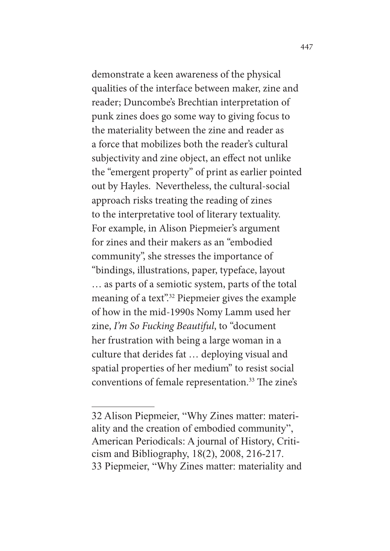demonstrate a keen awareness of the physical qualities of the interface between maker, zine and reader; Duncombe's Brechtian interpretation of punk zines does go some way to giving focus to the materiality between the zine and reader as a force that mobilizes both the reader's cultural subjectivity and zine object, an efect not unlike the "emergent property" of print as earlier pointed out by Hayles. Nevertheless, the cultural-social approach risks treating the reading of zines to the interpretative tool of literary textuality. For example, in Alison Piepmeier's argument for zines and their makers as an "embodied community", she stresses the importance of "bindings, illustrations, paper, typeface, layout … as parts of a semiotic system, parts of the total meaning of a text".<sup>32</sup> Piepmeier gives the example of how in the mid-1990s Nomy Lamm used her zine, *I'm So Fucking Beautiful*, to "document her frustration with being a large woman in a culture that derides fat … deploying visual and spatial properties of her medium" to resist social conventions of female representation.<sup>33</sup> The zine's

<sup>32</sup> Alison Piepmeier, "Why Zines matter: materiality and the creation of embodied community", American Periodicals: A journal of History, Criticism and Bibliography, 18(2), 2008, 216-217. 33 Piepmeier, "Why Zines matter: materiality and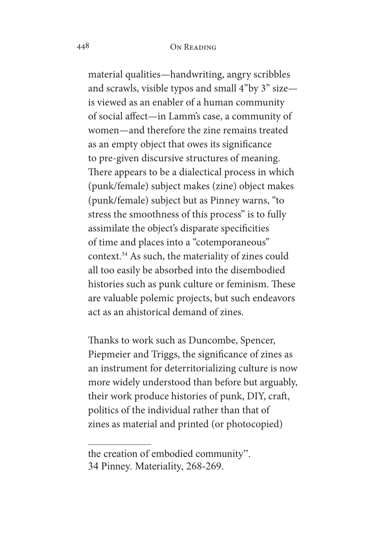material qualities—handwriting, angry scribbles and scrawls, visible typos and small 4"by 3" size is viewed as an enabler of a human community of social afect—in Lamm's case, a community of women—and therefore the zine remains treated as an empty object that owes its signifcance to pre-given discursive structures of meaning. There appears to be a dialectical process in which (punk/female) subject makes (zine) object makes (punk/female) subject but as Pinney warns, "to stress the smoothness of this process" is to fully assimilate the object's disparate specifcities of time and places into a "cotemporaneous" context.34 As such, the materiality of zines could all too easily be absorbed into the disembodied histories such as punk culture or feminism. These are valuable polemic projects, but such endeavors act as an ahistorical demand of zines.

Thanks to work such as Duncombe, Spencer, Piepmeier and Triggs, the signifcance of zines as an instrument for deterritorializing culture is now more widely understood than before but arguably, their work produce histories of punk, DIY, craf, politics of the individual rather than that of zines as material and printed (or photocopied)

the creation of embodied community". 34 Pinney. Materiality, 268-269.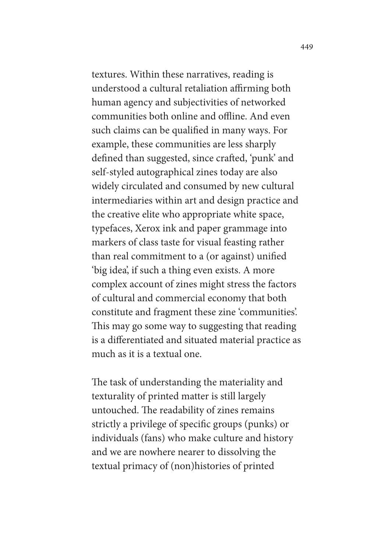textures. Within these narratives, reading is understood a cultural retaliation affirming both human agency and subjectivities of networked communities both online and offline. And even such claims can be qualifed in many ways. For example, these communities are less sharply defined than suggested, since crafted, 'punk' and self-styled autographical zines today are also widely circulated and consumed by new cultural intermediaries within art and design practice and the creative elite who appropriate white space, typefaces, Xerox ink and paper grammage into markers of class taste for visual feasting rather than real commitment to a (or against) unifed 'big idea', if such a thing even exists. A more complex account of zines might stress the factors of cultural and commercial economy that both constitute and fragment these zine 'communities'. This may go some way to suggesting that reading is a diferentiated and situated material practice as much as it is a textual one.

The task of understanding the materiality and texturality of printed matter is still largely untouched. The readability of zines remains strictly a privilege of specifc groups (punks) or individuals (fans) who make culture and history and we are nowhere nearer to dissolving the textual primacy of (non)histories of printed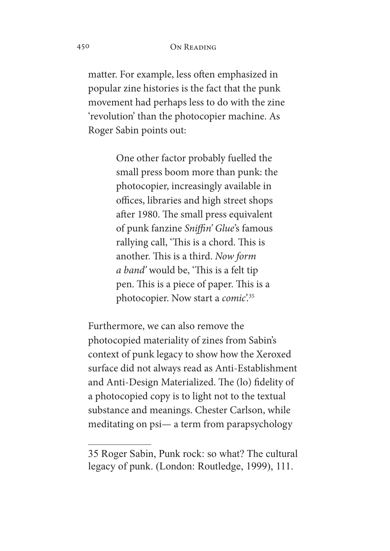matter. For example, less often emphasized in popular zine histories is the fact that the punk movement had perhaps less to do with the zine 'revolution' than the photocopier machine. As Roger Sabin points out:

> One other factor probably fuelled the small press boom more than punk: the photocopier, increasingly available in offices, libraries and high street shops after 1980. The small press equivalent of punk fanzine *Sni*f*n' Glue*'s famous rallying call, 'This is a chord. This is another. This is a third. *Now form a band'* would be, 'This is a felt tip pen. This is a piece of paper. This is a photocopier. Now start a *comic*'.35

Furthermore, we can also remove the photocopied materiality of zines from Sabin's context of punk legacy to show how the Xeroxed surface did not always read as Anti-Establishment and Anti-Design Materialized. The (lo) fidelity of a photocopied copy is to light not to the textual substance and meanings. Chester Carlson, while meditating on psi— a term from parapsychology

<sup>35</sup> Roger Sabin, Punk rock: so what? The cultural legacy of punk. (London: Routledge, 1999), 111.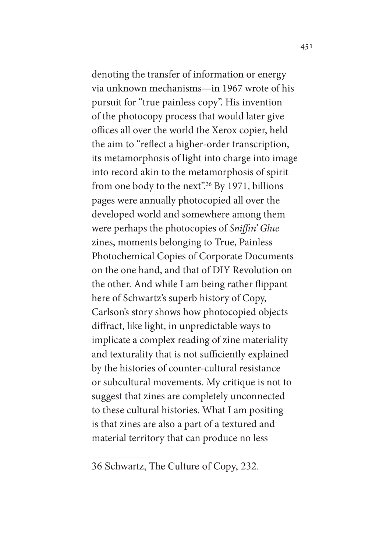denoting the transfer of information or energy via unknown mechanisms—in 1967 wrote of his pursuit for "true painless copy". His invention of the photocopy process that would later give offices all over the world the Xerox copier, held the aim to "refect a higher-order transcription, its metamorphosis of light into charge into image into record akin to the metamorphosis of spirit from one body to the next".<sup>36</sup> By 1971, billions pages were annually photocopied all over the developed world and somewhere among them were perhaps the photocopies of *Sni*f*n' Glue* zines, moments belonging to True, Painless Photochemical Copies of Corporate Documents on the one hand, and that of DIY Revolution on the other. And while I am being rather fippant here of Schwartz's superb history of Copy, Carlson's story shows how photocopied objects difract, like light, in unpredictable ways to implicate a complex reading of zine materiality and texturality that is not sufficiently explained by the histories of counter-cultural resistance or subcultural movements. My critique is not to suggest that zines are completely unconnected to these cultural histories. What I am positing is that zines are also a part of a textured and material territory that can produce no less

<sup>36</sup> Schwartz, The Culture of Copy, 232.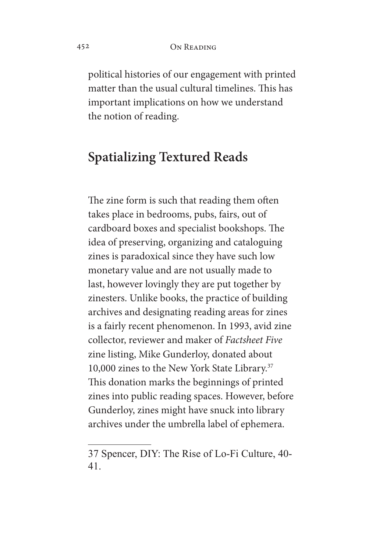political histories of our engagement with printed matter than the usual cultural timelines. This has important implications on how we understand the notion of reading.

## **Spatializing Textured Reads**

The zine form is such that reading them often takes place in bedrooms, pubs, fairs, out of cardboard boxes and specialist bookshops. The idea of preserving, organizing and cataloguing zines is paradoxical since they have such low monetary value and are not usually made to last, however lovingly they are put together by zinesters. Unlike books, the practice of building archives and designating reading areas for zines is a fairly recent phenomenon. In 1993, avid zine collector, reviewer and maker of *Factsheet Five* zine listing, Mike Gunderloy, donated about 10,000 zines to the New York State Library.37 This donation marks the beginnings of printed zines into public reading spaces. However, before Gunderloy, zines might have snuck into library archives under the umbrella label of ephemera.

<sup>37</sup> Spencer, DIY: The Rise of Lo-Fi Culture, 40- 41.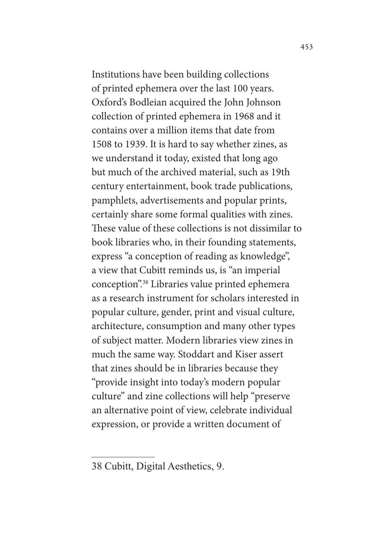Institutions have been building collections of printed ephemera over the last 100 years. Oxford's Bodleian acquired the John Johnson collection of printed ephemera in 1968 and it contains over a million items that date from 1508 to 1939. It is hard to say whether zines, as we understand it today, existed that long ago but much of the archived material, such as 19th century entertainment, book trade publications, pamphlets, advertisements and popular prints, certainly share some formal qualities with zines. These value of these collections is not dissimilar to book libraries who, in their founding statements, express "a conception of reading as knowledge", a view that Cubitt reminds us, is "an imperial conception".38 Libraries value printed ephemera as a research instrument for scholars interested in popular culture, gender, print and visual culture, architecture, consumption and many other types of subject matter. Modern libraries view zines in much the same way. Stoddart and Kiser assert that zines should be in libraries because they "provide insight into today's modern popular culture" and zine collections will help "preserve an alternative point of view, celebrate individual expression, or provide a written document of

<sup>38</sup> Cubitt, Digital Aesthetics, 9.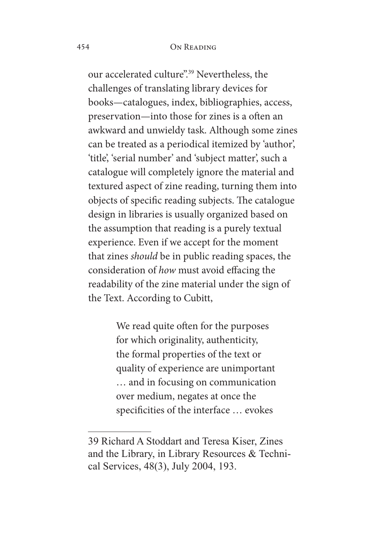#### 454 On Reading

our accelerated culture".39 Nevertheless, the challenges of translating library devices for books—catalogues, index, bibliographies, access, preservation—into those for zines is a ofen an awkward and unwieldy task. Although some zines can be treated as a periodical itemized by 'author', 'title', 'serial number' and 'subject matter', such a catalogue will completely ignore the material and textured aspect of zine reading, turning them into objects of specific reading subjects. The catalogue design in libraries is usually organized based on the assumption that reading is a purely textual experience. Even if we accept for the moment that zines *should* be in public reading spaces, the consideration of *how* must avoid efacing the readability of the zine material under the sign of the Text. According to Cubitt,

> We read quite often for the purposes for which originality, authenticity, the formal properties of the text or quality of experience are unimportant … and in focusing on communication over medium, negates at once the specificities of the interface ... evokes

<sup>39</sup> Richard A Stoddart and Teresa Kiser, Zines and the Library, in Library Resources & Technical Services, 48(3), July 2004, 193.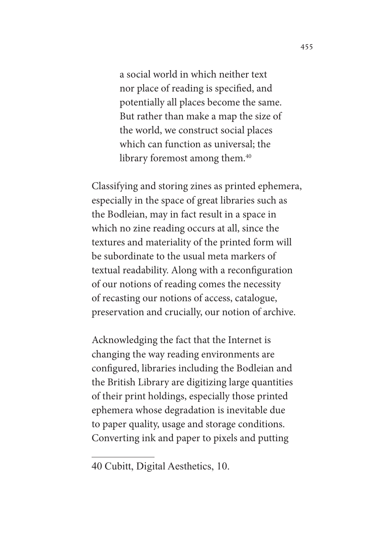a social world in which neither text nor place of reading is specifed, and potentially all places become the same. But rather than make a map the size of the world, we construct social places which can function as universal; the library foremost among them.<sup>40</sup>

Classifying and storing zines as printed ephemera, especially in the space of great libraries such as the Bodleian, may in fact result in a space in which no zine reading occurs at all, since the textures and materiality of the printed form will be subordinate to the usual meta markers of textual readability. Along with a reconfguration of our notions of reading comes the necessity of recasting our notions of access, catalogue, preservation and crucially, our notion of archive.

Acknowledging the fact that the Internet is changing the way reading environments are confgured, libraries including the Bodleian and the British Library are digitizing large quantities of their print holdings, especially those printed ephemera whose degradation is inevitable due to paper quality, usage and storage conditions. Converting ink and paper to pixels and putting

<sup>40</sup> Cubitt, Digital Aesthetics, 10.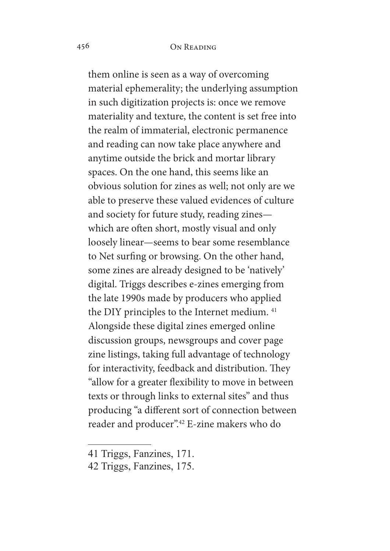them online is seen as a way of overcoming material ephemerality; the underlying assumption in such digitization projects is: once we remove materiality and texture, the content is set free into the realm of immaterial, electronic permanence and reading can now take place anywhere and anytime outside the brick and mortar library spaces. On the one hand, this seems like an obvious solution for zines as well; not only are we able to preserve these valued evidences of culture and society for future study, reading zines which are often short, mostly visual and only loosely linear—seems to bear some resemblance to Net surfng or browsing. On the other hand, some zines are already designed to be 'natively' digital. Triggs describes e-zines emerging from the late 1990s made by producers who applied the DIY principles to the Internet medium.<sup>41</sup> Alongside these digital zines emerged online discussion groups, newsgroups and cover page zine listings, taking full advantage of technology for interactivity, feedback and distribution. They "allow for a greater fexibility to move in between texts or through links to external sites" and thus producing "a diferent sort of connection between reader and producer".42 E-zine makers who do

<sup>41</sup> Triggs, Fanzines, 171.

<sup>42</sup> Triggs, Fanzines, 175.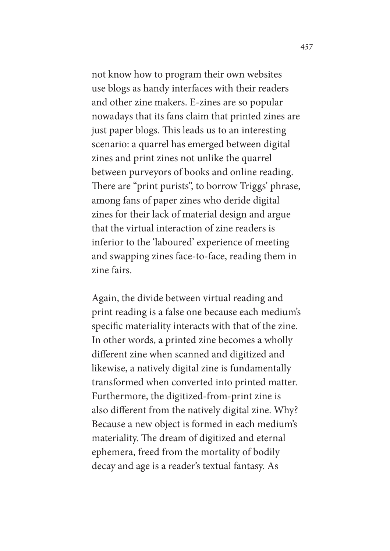not know how to program their own websites use blogs as handy interfaces with their readers and other zine makers. E-zines are so popular nowadays that its fans claim that printed zines are just paper blogs. This leads us to an interesting scenario: a quarrel has emerged between digital zines and print zines not unlike the quarrel between purveyors of books and online reading. There are "print purists", to borrow Triggs' phrase, among fans of paper zines who deride digital zines for their lack of material design and argue that the virtual interaction of zine readers is inferior to the 'laboured' experience of meeting and swapping zines face-to-face, reading them in zine fairs.

Again, the divide between virtual reading and print reading is a false one because each medium's specifc materiality interacts with that of the zine. In other words, a printed zine becomes a wholly diferent zine when scanned and digitized and likewise, a natively digital zine is fundamentally transformed when converted into printed matter. Furthermore, the digitized-from-print zine is also diferent from the natively digital zine. Why? Because a new object is formed in each medium's materiality. The dream of digitized and eternal ephemera, freed from the mortality of bodily decay and age is a reader's textual fantasy. As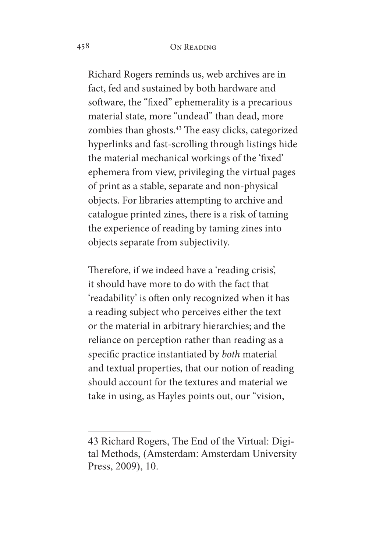Richard Rogers reminds us, web archives are in fact, fed and sustained by both hardware and software, the "fixed" ephemerality is a precarious material state, more "undead" than dead, more zombies than ghosts.<sup>43</sup> The easy clicks, categorized hyperlinks and fast-scrolling through listings hide the material mechanical workings of the 'fxed' ephemera from view, privileging the virtual pages of print as a stable, separate and non-physical objects. For libraries attempting to archive and catalogue printed zines, there is a risk of taming the experience of reading by taming zines into objects separate from subjectivity.

Therefore, if we indeed have a 'reading crisis', it should have more to do with the fact that 'readability' is often only recognized when it has a reading subject who perceives either the text or the material in arbitrary hierarchies; and the reliance on perception rather than reading as a specifc practice instantiated by *both* material and textual properties, that our notion of reading should account for the textures and material we take in using, as Hayles points out, our "vision,

<sup>43</sup> Richard Rogers, The End of the Virtual: Digital Methods, (Amsterdam: Amsterdam University Press, 2009), 10.